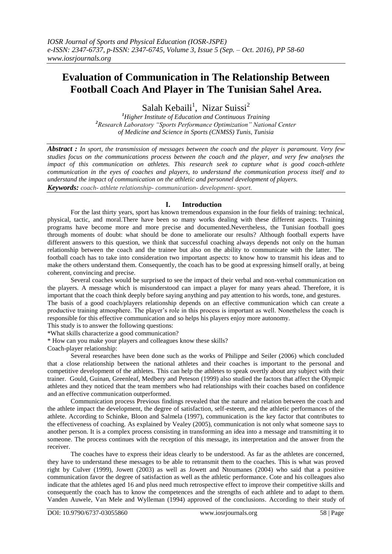# **Evaluation of Communication in The Relationship Between Football Coach And Player in The Tunisian Sahel Area.**

Salah Kebaili<sup>1</sup>, Nizar Suissi<sup>2</sup>

*<sup>1</sup>Higher Institute of Education and Continuous Training <sup>2</sup>Research Laboratory "Sports Performance Optimization" National Center of Medicine and Science in Sports (CNMSS) Tunis, Tunisia*

*Abstract : In sport, the transmission of messages between the coach and the player is paramount. Very few studies focus on the communications process between the coach and the player, and very few analyses the impact of this communication on athletes. This research seek to capture what is good coach-athlete communication in the eyes of coaches and players, to understand the communication process itself and to understand the impact of communication on the athletic and personnel development of players. Keywords: coach- athlete relationship- communication- development- sport.*

**I. Introduction**

For the last thirty years, sport has known tremendous expansion in the four fields of training: technical, physical, tactic, and moral.There have been so many works dealing with these different aspects. Training programs have become more and more precise and documented.Nevertheless, the Tunisian football goes through moments of doubt: what should be done to ameliorate our results? Although football experts have different answers to this question, we think that successful coaching always depends not only on the human relationship between the coach and the trainee but also on the ability to communicate with the latter. The football coach has to take into consideration two important aspects: to know how to transmit his ideas and to make the others understand them. Consequently, the coach has to be good at expressing himself orally, at being coherent, convincing and precise.

Several coaches would be surprised to see the impact of their verbal and non-verbal communication on the players. A message which is misunderstood can impact a player for many years ahead. Therefore, it is important that the coach think deeply before saying anything and pay attention to his words, tone, and gestures.

The basis of a good coach/players relationship depends on an effective communication which can create a productive training atmosphere. The player's role in this process is important as well. Nonetheless the coach is responsible for this effective communication and so helps his players enjoy more autonomy.

This study is to answer the following questions:

\*What skills characterize a good communication?

\* How can you make your players and colleagues know these skills?

Coach-player relationship:

Several researches have been done such as the works of Philippe and Seiler (2006) which concluded that a close relationship between the national athletes and their coaches is important to the personal and competitive development of the athletes. This can help the athletes to speak overtly about any subject with their trainer. Gould, Guinan, Greenleaf, Medbery and Peteson (1999) also studied the factors that affect the Olympic athletes and they noticed that the team members who had relationships with their coaches based on confidence and an effective communication outperformed.

Communication process Previous findings revealed that the nature and relation between the coach and the athlete impact the development, the degree of satisfaction, self-esteem, and the athletic performances of the athlete. According to Schinke, Bloon and Salmela (1997), communication is the key factor that contributes to the effectiveness of coaching. As explained by Vealey (2005), communication is not only what someone says to another person. It is a complex process consisting in transforming an idea into a message and transmitting it to someone. The process continues with the reception of this message, its interpretation and the answer from the receiver.

The coaches have to express their ideas clearly to be understood. As far as the athletes are concerned, they have to understand these messages to be able to retransmit them to the coaches. This is what was proved right by Culver (1999), Jowett (2003) as well as Jowett and Ntoumanes (2004) who said that a positive communication favor the degree of satisfaction as well as the athletic performance. Cote and his colleagues also indicate that the athletes aged 16 and plus need much retrospective effect to improve their competitive skills and consequently the coach has to know the competences and the strengths of each athlete and to adapt to them. Vanden Auwele, Van Mele and Wylleman (1994) approved of the conclusions. According to their study of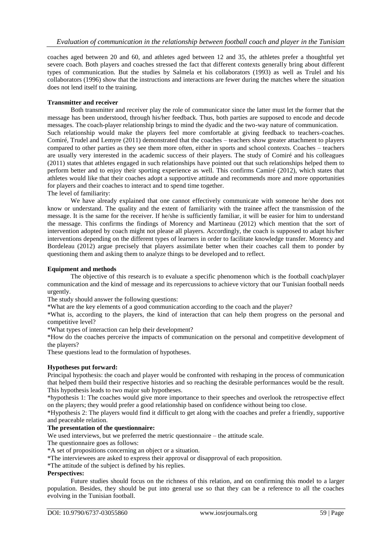coaches aged between 20 and 60, and athletes aged between 12 and 35, the athletes prefer a thoughtful yet severe coach. Both players and coaches stressed the fact that different contexts generally bring about different types of communication. But the studies by Salmela et his collaborators (1993) as well as Trulel and his collaborators (1996) show that the instructions and interactions are fewer during the matches where the situation does not lend itself to the training.

#### **Transmitter and receiver**

Both transmitter and receiver play the role of communicator since the latter must let the former that the message has been understood, through his/her feedback. Thus, both parties are supposed to encode and decode messages. The coach-player relationship brings to mind the dyadic and the two-way nature of communication. Such relationship would make the players feel more comfortable at giving feedback to teachers-coaches. Comiré, Trudel and Lemyre (2011) demonstrated that the coaches – teachers show greater attachment to players compared to other parties as they see them more often, either in sports and school contexts. Coaches – teachers are usually very interested in the academic success of their players. The study of Comiré and his colleagues (2011) states that athletes engaged in such relationships have pointed out that such relationships helped them to perform better and to enjoy their sporting experience as well. This confirms Camiré (2012), which states that athletes would like that their coaches adopt a supportive attitude and recommends more and more opportunities for players and their coaches to interact and to spend time together. The level of familiarity:

We have already explained that one cannot effectively communicate with someone he/she does not know or understand. The quality and the extent of familiarity with the trainee affect the transmission of the message. It is the same for the receiver. If he/she is sufficiently familiar, it will be easier for him to understand the message. This confirms the findings of Morency and Martineau (2012) which mention that the sort of intervention adopted by coach might not please all players. Accordingly, the coach is supposed to adapt his/her interventions depending on the different types of learners in order to facilitate knowledge transfer. Morency and Bordeleau (2012) argue precisely that players assimilate better when their coaches call them to ponder by questioning them and asking them to analyze things to be developed and to reflect.

#### **Equipment and methods**

The objective of this research is to evaluate a specific phenomenon which is the football coach/player communication and the kind of message and its repercussions to achieve victory that our Tunisian football needs urgently.

The study should answer the following questions:

\*What are the key elements of a good communication according to the coach and the player?

\*What is, according to the players, the kind of interaction that can help them progress on the personal and competitive level?

\*What types of interaction can help their development?

\*How do the coaches perceive the impacts of communication on the personal and competitive development of the players?

These questions lead to the formulation of hypotheses.

## **Hypotheses put forward:**

Principal hypothesis: the coach and player would be confronted with reshaping in the process of communication that helped them build their respective histories and so reaching the desirable performances would be the result. This hypothesis leads to two major sub hypotheses.

\*hypothesis 1: The coaches would give more importance to their speeches and overlook the retrospective effect on the players; they would prefer a good relationship based on confidence without being too close.

\*Hypothesis 2: The players would find it difficult to get along with the coaches and prefer a friendly, supportive and peaceable relation.

### **The presentation of the questionnaire:**

We used interviews, but we preferred the metric questionnaire – the attitude scale.

The questionnaire goes as follows:

\*A set of propositions concerning an object or a situation.

\*The interviewees are asked to express their approval or disapproval of each proposition.

\*The attitude of the subject is defined by his replies.

#### **Perspectives:**

Future studies should focus on the richness of this relation, and on confirming this model to a larger population. Besides, they should be put into general use so that they can be a reference to all the coaches evolving in the Tunisian football.